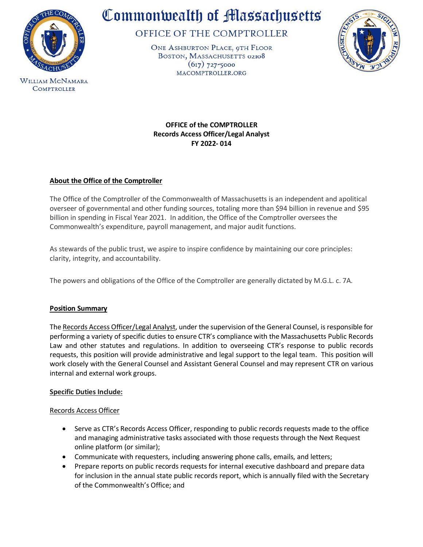

**WILLIAM MCNAMARA COMPTROLLER** 

# Commonwealth of Massachusetts

OFFICE OF THE COMPTROLLER

ONE ASHBURTON PLACE, 9TH FLOOR BOSTON, MASSACHUSETTS 02108  $(617)$  727-5000 MACOMPTROLLER.ORG



**OFFICE of the COMPTROLLER Records Access Officer/Legal Analyst FY 2022- 014**

# **About the Office of the Comptroller**

The Office of the Comptroller of the Commonwealth of Massachusetts is an independent and apolitical overseer of governmental and other funding sources, totaling more than \$94 billion in revenue and \$95 billion in spending in Fiscal Year 2021. In addition, the Office of the Comptroller oversees the Commonwealth's expenditure, payroll management, and major audit functions.

As stewards of the public trust, we aspire to inspire confidence by maintaining our core principles: clarity, integrity, and accountability.

The powers and obligations of the Office of the Comptroller are generally dictated by M.G.L. c. 7A.

# **Position Summary**

The Records Access Officer/Legal Analyst, under the supervision of the General Counsel, is responsible for performing a variety of specific duties to ensure CTR's compliance with the Massachusetts Public Records Law and other statutes and regulations. In addition to overseeing CTR's response to public records requests, this position will provide administrative and legal support to the legal team. This position will work closely with the General Counsel and Assistant General Counsel and may represent CTR on various internal and external work groups.

# **Specific Duties Include:**

## Records Access Officer

- Serve as CTR's Records Access Officer, responding to public records requests made to the office and managing administrative tasks associated with those requests through the Next Request online platform (or similar);
- Communicate with requesters, including answering phone calls, emails, and letters;
- Prepare reports on public records requests for internal executive dashboard and prepare data for inclusion in the annual state public records report, which is annually filed with the Secretary of the Commonwealth's Office; and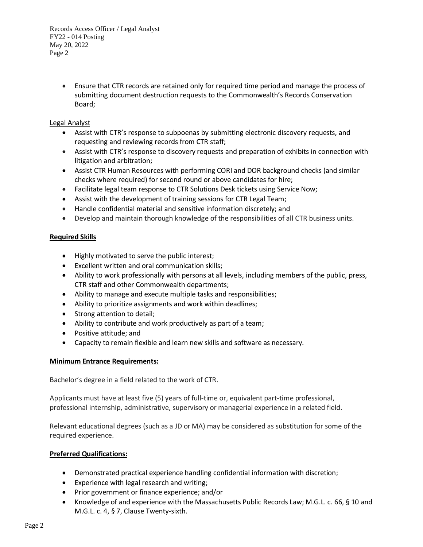> • Ensure that CTR records are retained only for required time period and manage the process of submitting document destruction requests to the Commonwealth's Records Conservation Board;

## Legal Analyst

- Assist with CTR's response to subpoenas by submitting electronic discovery requests, and requesting and reviewing records from CTR staff;
- Assist with CTR's response to discovery requests and preparation of exhibits in connection with litigation and arbitration;
- Assist CTR Human Resources with performing CORI and DOR background checks (and similar checks where required) for second round or above candidates for hire;
- Facilitate legal team response to CTR Solutions Desk tickets using Service Now;
- Assist with the development of training sessions for CTR Legal Team;
- Handle confidential material and sensitive information discretely; and
- Develop and maintain thorough knowledge of the responsibilities of all CTR business units.

# **Required Skills**

- Highly motivated to serve the public interest;
- Excellent written and oral communication skills;
- Ability to work professionally with persons at all levels, including members of the public, press, CTR staff and other Commonwealth departments;
- Ability to manage and execute multiple tasks and responsibilities;
- Ability to prioritize assignments and work within deadlines;
- Strong attention to detail;
- Ability to contribute and work productively as part of a team;
- Positive attitude; and
- Capacity to remain flexible and learn new skills and software as necessary.

# **Minimum Entrance Requirements:**

Bachelor's degree in a field related to the work of CTR.

Applicants must have at least five (5) years of full-time or, equivalent part-time professional, professional internship, administrative, supervisory or managerial experience in a related field.

Relevant educational degrees (such as a JD or MA) may be considered as substitution for some of the required experience.

# **Preferred Qualifications:**

- Demonstrated practical experience handling confidential information with discretion;
- Experience with legal research and writing;
- Prior government or finance experience; and/or
- Knowledge of and experience with the Massachusetts Public Records Law; M.G.L. c. 66, § 10 and M.G.L. c. 4, § 7, Clause Twenty-sixth.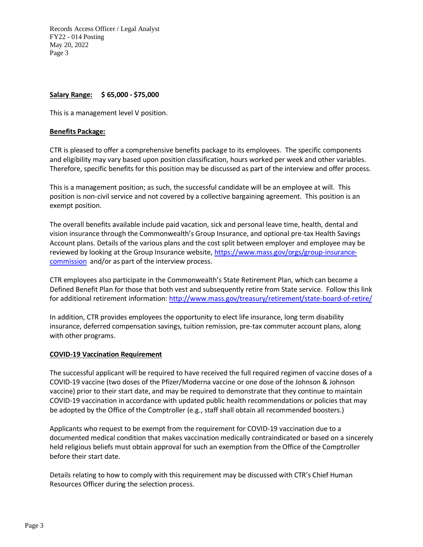# **Salary Range: \$ 65,000 - \$75,000**

This is a management level V position.

### **Benefits Package:**

CTR is pleased to offer a comprehensive benefits package to its employees. The specific components and eligibility may vary based upon position classification, hours worked per week and other variables. Therefore, specific benefits for this position may be discussed as part of the interview and offer process.

This is a management position; as such, the successful candidate will be an employee at will. This position is non-civil service and not covered by a collective bargaining agreement. This position is an exempt position.

The overall benefits available include paid vacation, sick and personal leave time, health, dental and vision insurance through the Commonwealth's Group Insurance, and optional pre-tax Health Savings Account plans. Details of the various plans and the cost split between employer and employee may be reviewed by looking at the Group Insurance website, [https://www.mass.gov/orgs/group-insurance](https://www.mass.gov/orgs/group-insurance-commission)[commission](https://www.mass.gov/orgs/group-insurance-commission) and/or as part of the interview process.

CTR employees also participate in the Commonwealth's State Retirement Plan, which can become a Defined Benefit Plan for those that both vest and subsequently retire from State service. Follow this link for additional retirement information[: http://www.mass.gov/treasury/retirement/state-board-of-retire/](http://www.mass.gov/treasury/retirement/state-board-of-retire/)

In addition, CTR provides employees the opportunity to elect life insurance, long term disability insurance, deferred compensation savings, tuition remission, pre-tax commuter account plans, along with other programs.

#### **COVID-19 Vaccination Requirement**

The successful applicant will be required to have received the full required regimen of vaccine doses of a COVID-19 vaccine (two doses of the Pfizer/Moderna vaccine or one dose of the Johnson & Johnson vaccine) prior to their start date, and may be required to demonstrate that they continue to maintain COVID-19 vaccination in accordance with updated public health recommendations or policies that may be adopted by the Office of the Comptroller (e.g., staff shall obtain all recommended boosters.)

Applicants who request to be exempt from the requirement for COVID-19 vaccination due to a documented medical condition that makes vaccination medically contraindicated or based on a sincerely held religious beliefs must obtain approval for such an exemption from the Office of the Comptroller before their start date.

Details relating to how to comply with this requirement may be discussed with CTR's Chief Human Resources Officer during the selection process.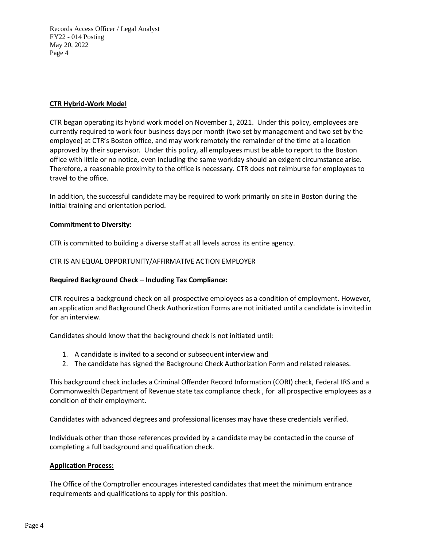### **CTR Hybrid-Work Model**

CTR began operating its hybrid work model on November 1, 2021. Under this policy, employees are currently required to work four business days per month (two set by management and two set by the employee) at CTR's Boston office, and may work remotely the remainder of the time at a location approved by their supervisor. Under this policy, all employees must be able to report to the Boston office with little or no notice, even including the same workday should an exigent circumstance arise. Therefore, a reasonable proximity to the office is necessary. CTR does not reimburse for employees to travel to the office.

In addition, the successful candidate may be required to work primarily on site in Boston during the initial training and orientation period.

## **Commitment to Diversity:**

CTR is committed to building a diverse staff at all levels across its entire agency.

## CTR IS AN EQUAL OPPORTUNITY/AFFIRMATIVE ACTION EMPLOYER

## **Required Background Check – Including Tax Compliance:**

CTR requires a background check on all prospective employees as a condition of employment. However, an application and Background Check Authorization Forms are not initiated until a candidate is invited in for an interview.

Candidates should know that the background check is not initiated until:

- 1. A candidate is invited to a second or subsequent interview and
- 2. The candidate has signed the Background Check Authorization Form and related releases.

This background check includes a Criminal Offender Record Information (CORI) check, Federal IRS and a Commonwealth Department of Revenue state tax compliance check , for all prospective employees as a condition of their employment.

Candidates with advanced degrees and professional licenses may have these credentials verified.

Individuals other than those references provided by a candidate may be contacted in the course of completing a full background and qualification check.

## **Application Process:**

The Office of the Comptroller encourages interested candidates that meet the minimum entrance requirements and qualifications to apply for this position.